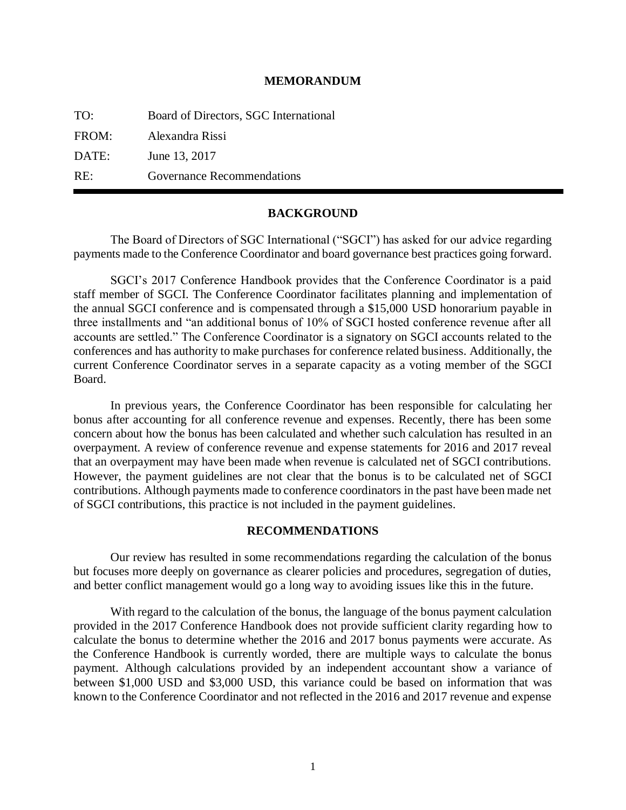## **MEMORANDUM**

TO: Board of Directors, SGC International FROM: Alexandra Rissi DATE: June 13, 2017 RE: Governance Recommendations

## **BACKGROUND**

The Board of Directors of SGC International ("SGCI") has asked for our advice regarding payments made to the Conference Coordinator and board governance best practices going forward.

SGCI's 2017 Conference Handbook provides that the Conference Coordinator is a paid staff member of SGCI. The Conference Coordinator facilitates planning and implementation of the annual SGCI conference and is compensated through a \$15,000 USD honorarium payable in three installments and "an additional bonus of 10% of SGCI hosted conference revenue after all accounts are settled." The Conference Coordinator is a signatory on SGCI accounts related to the conferences and has authority to make purchases for conference related business. Additionally, the current Conference Coordinator serves in a separate capacity as a voting member of the SGCI Board.

In previous years, the Conference Coordinator has been responsible for calculating her bonus after accounting for all conference revenue and expenses. Recently, there has been some concern about how the bonus has been calculated and whether such calculation has resulted in an overpayment. A review of conference revenue and expense statements for 2016 and 2017 reveal that an overpayment may have been made when revenue is calculated net of SGCI contributions. However, the payment guidelines are not clear that the bonus is to be calculated net of SGCI contributions. Although payments made to conference coordinators in the past have been made net of SGCI contributions, this practice is not included in the payment guidelines.

## **RECOMMENDATIONS**

Our review has resulted in some recommendations regarding the calculation of the bonus but focuses more deeply on governance as clearer policies and procedures, segregation of duties, and better conflict management would go a long way to avoiding issues like this in the future.

With regard to the calculation of the bonus, the language of the bonus payment calculation provided in the 2017 Conference Handbook does not provide sufficient clarity regarding how to calculate the bonus to determine whether the 2016 and 2017 bonus payments were accurate. As the Conference Handbook is currently worded, there are multiple ways to calculate the bonus payment. Although calculations provided by an independent accountant show a variance of between \$1,000 USD and \$3,000 USD, this variance could be based on information that was known to the Conference Coordinator and not reflected in the 2016 and 2017 revenue and expense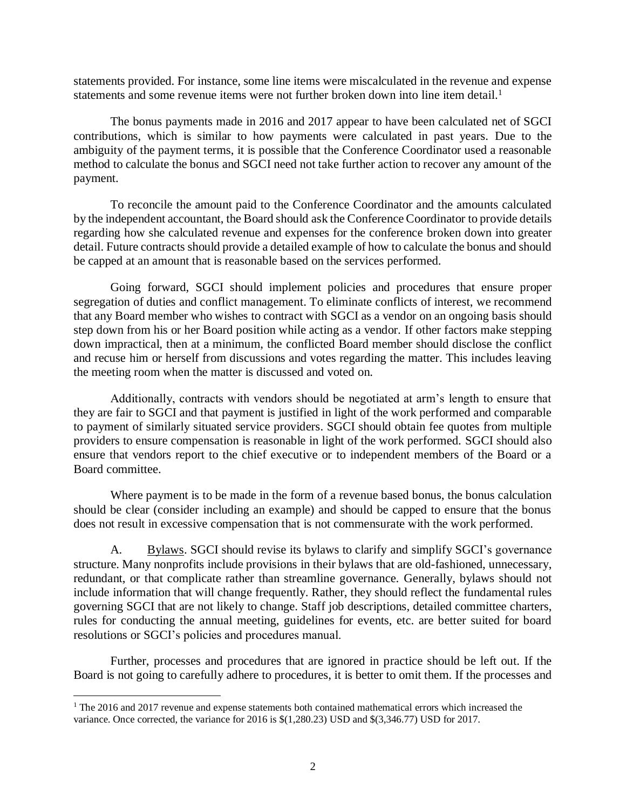statements provided. For instance, some line items were miscalculated in the revenue and expense statements and some revenue items were not further broken down into line item detail.<sup>1</sup>

The bonus payments made in 2016 and 2017 appear to have been calculated net of SGCI contributions, which is similar to how payments were calculated in past years. Due to the ambiguity of the payment terms, it is possible that the Conference Coordinator used a reasonable method to calculate the bonus and SGCI need not take further action to recover any amount of the payment.

To reconcile the amount paid to the Conference Coordinator and the amounts calculated by the independent accountant, the Board should ask the Conference Coordinator to provide details regarding how she calculated revenue and expenses for the conference broken down into greater detail. Future contracts should provide a detailed example of how to calculate the bonus and should be capped at an amount that is reasonable based on the services performed.

Going forward, SGCI should implement policies and procedures that ensure proper segregation of duties and conflict management. To eliminate conflicts of interest, we recommend that any Board member who wishes to contract with SGCI as a vendor on an ongoing basis should step down from his or her Board position while acting as a vendor. If other factors make stepping down impractical, then at a minimum, the conflicted Board member should disclose the conflict and recuse him or herself from discussions and votes regarding the matter. This includes leaving the meeting room when the matter is discussed and voted on.

Additionally, contracts with vendors should be negotiated at arm's length to ensure that they are fair to SGCI and that payment is justified in light of the work performed and comparable to payment of similarly situated service providers. SGCI should obtain fee quotes from multiple providers to ensure compensation is reasonable in light of the work performed. SGCI should also ensure that vendors report to the chief executive or to independent members of the Board or a Board committee.

Where payment is to be made in the form of a revenue based bonus, the bonus calculation should be clear (consider including an example) and should be capped to ensure that the bonus does not result in excessive compensation that is not commensurate with the work performed.

A. Bylaws. SGCI should revise its bylaws to clarify and simplify SGCI's governance structure. Many nonprofits include provisions in their bylaws that are old-fashioned, unnecessary, redundant, or that complicate rather than streamline governance. Generally, bylaws should not include information that will change frequently. Rather, they should reflect the fundamental rules governing SGCI that are not likely to change. Staff job descriptions, detailed committee charters, rules for conducting the annual meeting, guidelines for events, etc. are better suited for board resolutions or SGCI's policies and procedures manual.

Further, processes and procedures that are ignored in practice should be left out. If the Board is not going to carefully adhere to procedures, it is better to omit them. If the processes and

 $\overline{a}$ 

<sup>&</sup>lt;sup>1</sup> The 2016 and 2017 revenue and expense statements both contained mathematical errors which increased the variance. Once corrected, the variance for 2016 is \$(1,280.23) USD and \$(3,346.77) USD for 2017.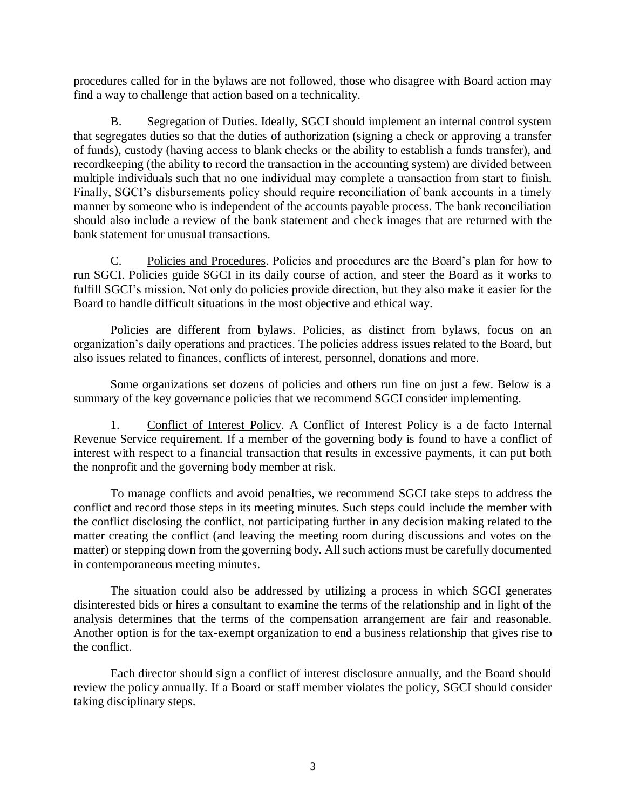procedures called for in the bylaws are not followed, those who disagree with Board action may find a way to challenge that action based on a technicality.

B. Segregation of Duties. Ideally, SGCI should implement an internal control system that segregates duties so that the duties of authorization (signing a check or approving a transfer of funds), custody (having access to blank checks or the ability to establish a funds transfer), and recordkeeping (the ability to record the transaction in the accounting system) are divided between multiple individuals such that no one individual may complete a transaction from start to finish. Finally, SGCI's disbursements policy should require reconciliation of bank accounts in a timely manner by someone who is independent of the accounts payable process. The bank reconciliation should also include a review of the bank statement and check images that are returned with the bank statement for unusual transactions.

C. Policies and Procedures. Policies and procedures are the Board's plan for how to run SGCI. Policies guide SGCI in its daily course of action, and steer the Board as it works to fulfill SGCI's mission. Not only do policies provide direction, but they also make it easier for the Board to handle difficult situations in the most objective and ethical way.

Policies are different from bylaws. Policies, as distinct from bylaws, focus on an organization's daily operations and practices. The policies address issues related to the Board, but also issues related to finances, conflicts of interest, personnel, donations and more.

Some organizations set dozens of policies and others run fine on just a few. Below is a summary of the key governance policies that we recommend SGCI consider implementing.

1. Conflict of Interest Policy. A Conflict of Interest Policy is a de facto Internal Revenue Service requirement. If a member of the governing body is found to have a conflict of interest with respect to a financial transaction that results in excessive payments, it can put both the nonprofit and the governing body member at risk.

To manage conflicts and avoid penalties, we recommend SGCI take steps to address the conflict and record those steps in its meeting minutes. Such steps could include the member with the conflict disclosing the conflict, not participating further in any decision making related to the matter creating the conflict (and leaving the meeting room during discussions and votes on the matter) or stepping down from the governing body. All such actions must be carefully documented in contemporaneous meeting minutes.

The situation could also be addressed by utilizing a process in which SGCI generates disinterested bids or hires a consultant to examine the terms of the relationship and in light of the analysis determines that the terms of the compensation arrangement are fair and reasonable. Another option is for the tax-exempt organization to end a business relationship that gives rise to the conflict.

Each director should sign a conflict of interest disclosure annually, and the Board should review the policy annually. If a Board or staff member violates the policy, SGCI should consider taking disciplinary steps.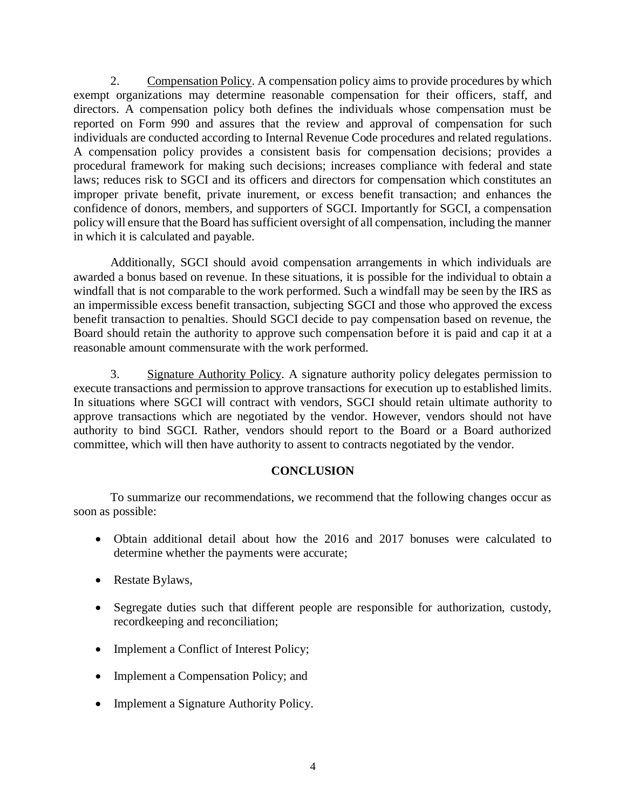2. Compensation Policy. A compensation policy aims to provide procedures by which exempt organizations may determine reasonable compensation for their officers, staff, and directors. A compensation policy both defines the individuals whose compensation must be reported on Form 990 and assures that the review and approval of compensation for such individuals are conducted according to Internal Revenue Code procedures and related regulations. A compensation policy provides a consistent basis for compensation decisions; provides a procedural framework for making such decisions; increases compliance with federal and state laws; reduces risk to SGCI and its officers and directors for compensation which constitutes an improper private benefit, private inurement, or excess benefit transaction; and enhances the confidence of donors, members, and supporters of SGCI. Importantly for SGCI, a compensation policy will ensure that the Board has sufficient oversight of all compensation, including the manner in which it is calculated and payable.

Additionally, SGCI should avoid compensation arrangements in which individuals are awarded a bonus based on revenue. In these situations, it is possible for the individual to obtain a windfall that is not comparable to the work performed. Such a windfall may be seen by the IRS as an impermissible excess benefit transaction, subjecting SGCI and those who approved the excess benefit transaction to penalties. Should SGCI decide to pay compensation based on revenue, the Board should retain the authority to approve such compensation before it is paid and cap it at a reasonable amount commensurate with the work performed.

3. Signature Authority Policy. A signature authority policy delegates permission to execute transactions and permission to approve transactions for execution up to established limits. In situations where SGCI will contract with vendors, SGCI should retain ultimate authority to approve transactions which are negotiated by the vendor. However, vendors should not have authority to bind SGCI. Rather, vendors should report to the Board or a Board authorized committee, which will then have authority to assent to contracts negotiated by the vendor.

## **CONCLUSION**

To summarize our recommendations, we recommend that the following changes occur as soon as possible:

- Obtain additional detail about how the 2016 and 2017 bonuses were calculated to determine whether the payments were accurate;
- Restate Bylaws,
- Segregate duties such that different people are responsible for authorization, custody, recordkeeping and reconciliation;
- Implement a Conflict of Interest Policy;
- Implement a Compensation Policy; and
- Implement a Signature Authority Policy.